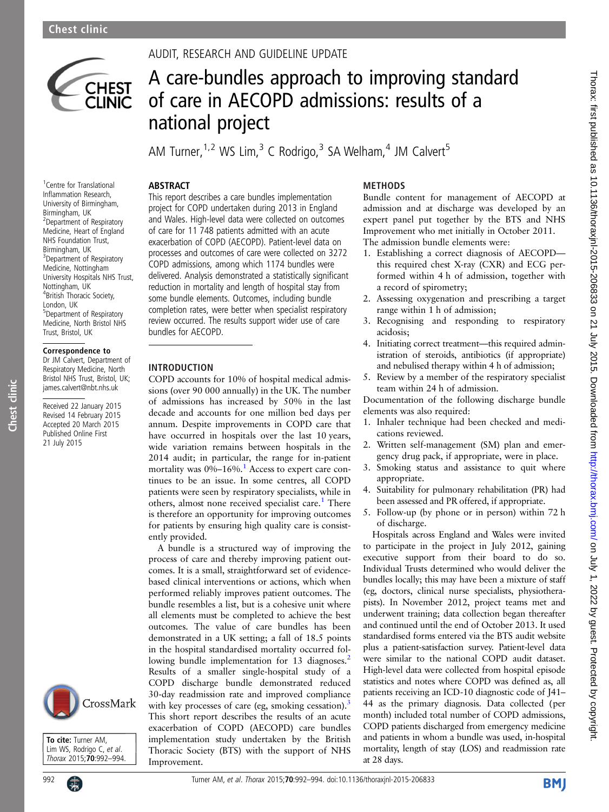

# AUDIT, RESEARCH AND GUIDELINE UPDATE

# A care-bundles approach to improving standard of care in AECOPD admissions: results of a national project

**METHODS** 

acidosis;

cations reviewed.

appropriate.

of discharge.

AM Turner,  $1.2$  WS Lim,  $3 \text{ C}$  Rodrigo,  $3$  SA Welham,  $4$  JM Calvert<sup>5</sup>

# ABSTRACT

<sup>1</sup> Centre for Translational Inflammation Research, University of Birmingham, Birmingham, UK 2 Department of Respiratory Medicine, Heart of England NHS Foundation Trust, Birmingham, UK <sup>3</sup>Department of Respiratory Medicine, Nottingham University Hospitals NHS Trust, Nottingham, UK 4 British Thoracic Society, London, UK 5 Department of Respiratory Medicine, North Bristol NHS Trust, Bristol, UK

## Correspondence to

Dr JM Calvert, Department of Respiratory Medicine, North Bristol NHS Trust, Bristol, UK; james.calvert@nbt.nhs.uk

Received 22 January 2015 Revised 14 February 2015 Accepted 20 March 2015 Published Online First 21 July 2015

Chest clinic

Chest clinic



To cite: Turner AM, Lim WS, Rodrigo C, et al. Thorax 2015;70:992-994.



Improvement who met initially in October 2011.

The admission bundle elements were:

Hospitals across England and Wales were invited to participate in the project in July 2012, gaining executive support from their board to do so. Individual Trusts determined who would deliver the bundles locally; this may have been a mixture of staff (eg, doctors, clinical nurse specialists, physiotherapists). In November 2012, project teams met and underwent training; data collection began thereafter and continued until the end of October 2013. It used standardised forms entered via the BTS audit website plus a patient-satisfaction survey. Patient-level data were similar to the national COPD audit dataset. High-level data were collected from hospital episode statistics and notes where COPD was defined as, all patients receiving an ICD-10 diagnostic code of J41– 44 as the primary diagnosis. Data collected (per month) included total number of COPD admissions, COPD patients discharged from emergency medicine and patients in whom a bundle was used, in-hospital mortality, length of stay (LOS) and readmission rate at 28 days.

Thorax: first published as 10.1136/thoraxjnl-2015-206833 on 21 July 2015. Downloaded from http://thorax.bmj.com/ on July 1, 2022 by guest. Protected by copyright on July 1, 2022 by guest. Protected by copyright. <http://thorax.bmj.com/> Thorax: first published as 10.1136/thoraxjnl-2015-206833 on 21 July 2015. Downloaded from

This report describes a care bundles implementation project for COPD undertaken during 2013 in England and Wales. High-level data were collected on outcomes of care for 11 748 patients admitted with an acute exacerbation of COPD (AECOPD). Patient-level data on processes and outcomes of care were collected on 3272 COPD admissions, among which 1174 bundles were delivered. Analysis demonstrated a statistically significant reduction in mortality and length of hospital stay from some bundle elements. Outcomes, including bundle completion rates, were better when specialist respiratory

review occurred. The results support wider use of care

## INTRODUCTION

bundles for AECOPD.

COPD accounts for 10% of hospital medical admissions (over 90 000 annually) in the UK. The number of admissions has increased by 50% in the last decade and accounts for one million bed days per annum. Despite improvements in COPD care that have occurred in hospitals over the last 10 years, wide variation remains between hospitals in the 2014 audit; in particular, the range for in-patient mortality was 0%-[1](#page-2-0)6%.<sup>1</sup> Access to expert care continues to be an issue. In some centres, all COPD patients were seen by respiratory specialists, while in others, almost none received specialist care.<sup>[1](#page-2-0)</sup> There is therefore an opportunity for improving outcomes for patients by ensuring high quality care is consistently provided.

A bundle is a structured way of improving the process of care and thereby improving patient outcomes. It is a small, straightforward set of evidencebased clinical interventions or actions, which when performed reliably improves patient outcomes. The bundle resembles a list, but is a cohesive unit where all elements must be completed to achieve the best outcomes. The value of care bundles has been demonstrated in a UK setting; a fall of 18.5 points in the hospital standardised mortality occurred fol-lowing bundle implementation for 13 diagnoses.<sup>[2](#page-2-0)</sup> Results of a smaller single-hospital study of a COPD discharge bundle demonstrated reduced 30-day readmission rate and improved compliance with key processes of care (eg, smoking cessation).<sup>[3](#page-2-0)</sup> This short report describes the results of an acute exacerbation of COPD (AECOPD) care bundles implementation study undertaken by the British Thoracic Society (BTS) with the support of NHS Improvement.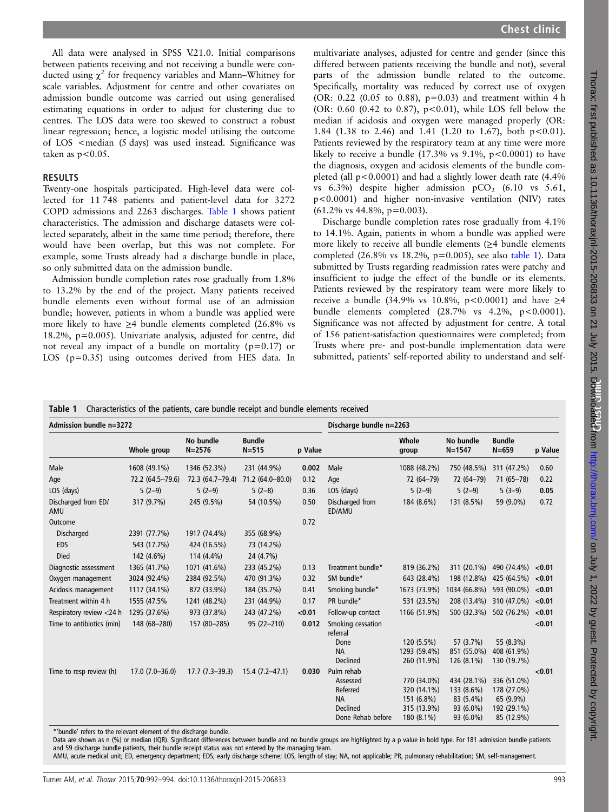All data were analysed in SPSS V.21.0. Initial comparisons between patients receiving and not receiving a bundle were conducted using  $\chi^2$  for frequency variables and Mann–Whitney for scale variables. Adjustment for centre and other covariates on admission bundle outcome was carried out using generalised estimating equations in order to adjust for clustering due to centres. The LOS data were too skewed to construct a robust linear regression; hence, a logistic model utilising the outcome of LOS <median (5 days) was used instead. Significance was taken as  $p < 0.05$ .

## RESULTS

Twenty-one hospitals participated. High-level data were collected for 11 748 patients and patient-level data for 3272 COPD admissions and 2263 discharges. Table 1 shows patient characteristics. The admission and discharge datasets were collected separately, albeit in the same time period; therefore, there would have been overlap, but this was not complete. For example, some Trusts already had a discharge bundle in place, so only submitted data on the admission bundle.

Admission bundle completion rates rose gradually from 1.8% to 13.2% by the end of the project. Many patients received bundle elements even without formal use of an admission bundle; however, patients in whom a bundle was applied were more likely to have  $\geq$ 4 bundle elements completed (26.8% vs 18.2%, p=0.005). Univariate analysis, adjusted for centre, did not reveal any impact of a bundle on mortality ( $p=0.17$ ) or LOS (p=0.35) using outcomes derived from HES data. In

multivariate analyses, adjusted for centre and gender (since this differed between patients receiving the bundle and not), several parts of the admission bundle related to the outcome. Specifically, mortality was reduced by correct use of oxygen (OR: 0.22 (0.05 to 0.88), p=0.03) and treatment within 4 h (OR:  $0.60$  (0.42 to 0.87), p<0.01), while LOS fell below the median if acidosis and oxygen were managed properly (OR: 1.84 (1.38 to 2.46) and 1.41 (1.20 to 1.67), both  $p<0.01$ ). Patients reviewed by the respiratory team at any time were more likely to receive a bundle  $(17.3\% \text{ vs } 9.1\%, \text{ p} < 0.0001)$  to have the diagnosis, oxygen and acidosis elements of the bundle completed (all  $p<0.0001$ ) and had a slightly lower death rate (4.4%) vs  $6.3\%$ ) despite higher admission pCO<sub>2</sub>  $(6.10 \text{ vs } 5.61,$ p<0.0001) and higher non-invasive ventilation (NIV) rates  $(61.2\% \text{ vs } 44.8\%, \text{ p} = 0.003).$ 

Discharge bundle completion rates rose gradually from 4.1% to 14.1%. Again, patients in whom a bundle was applied were more likely to receive all bundle elements ( $\geq$ 4 bundle elements completed (26.8% vs 18.2%, p=0.005), see also table 1). Data submitted by Trusts regarding readmission rates were patchy and insufficient to judge the effect of the bundle or its elements. Patients reviewed by the respiratory team were more likely to receive a bundle (34.9% vs 10.8%, p < 0.0001) and have ≥4 bundle elements completed  $(28.7\% \text{ vs } 4.2\%, \text{ p} < 0.0001).$ Significance was not affected by adjustment for centre. A total of 156 patient-satisfaction questionnaires were completed; from Trusts where pre- and post-bundle implementation data were submitted, patients' self-reported ability to understand and self-

| Admission bundle n=3272    |                    |                         |                            |         | Discharge bundle n=2263                                                                 |                                                                       |                                                                  |                                                                      |         |
|----------------------------|--------------------|-------------------------|----------------------------|---------|-----------------------------------------------------------------------------------------|-----------------------------------------------------------------------|------------------------------------------------------------------|----------------------------------------------------------------------|---------|
|                            | Whole group        | No bundle<br>$N = 2576$ | <b>Bundle</b><br>$N = 515$ | p Value |                                                                                         | Whole<br>group                                                        | No bundle<br>$N = 1547$                                          | <b>Bundle</b><br>$N = 659$                                           | p Value |
| Male                       | 1608 (49.1%)       | 1346 (52.3%)            | 231 (44.9%)                | 0.002   | Male                                                                                    | 1088 (48.2%)                                                          | 750 (48.5%)                                                      | 311 (47.2%)                                                          | 0.60    |
| Age                        | 72.2 (64.5-79.6)   | 72.3 (64.7-79.4)        | 71.2 (64.0-80.0)           | 0.12    | Age                                                                                     | 72 (64-79)                                                            | 72 (64-79)                                                       | $71(65 - 78)$                                                        | 0.22    |
| LOS (days)                 | $5(2-9)$           | $5(2-9)$                | $5(2-8)$                   | 0.36    | LOS (days)                                                                              | $5(2-9)$                                                              | $5(2-9)$                                                         | $5(3-9)$                                                             | 0.05    |
| Discharged from ED/<br>AMU | 317 (9.7%)         | 245 (9.5%)              | 54 (10.5%)                 | 0.50    | Discharged from<br>ED/AMU                                                               | 184 (8.6%)                                                            | 131 (8.5%)                                                       | 59 (9.0%)                                                            | 0.72    |
| Outcome                    |                    |                         |                            | 0.72    |                                                                                         |                                                                       |                                                                  |                                                                      |         |
| Discharged                 | 2391 (77.7%)       | 1917 (74.4%)            | 355 (68.9%)                |         |                                                                                         |                                                                       |                                                                  |                                                                      |         |
| <b>EDS</b>                 | 543 (17.7%)        | 424 (16.5%)             | 73 (14.2%)                 |         |                                                                                         |                                                                       |                                                                  |                                                                      |         |
| Died                       | 142 (4.6%)         | 114 (4.4%)              | 24 (4.7%)                  |         |                                                                                         |                                                                       |                                                                  |                                                                      |         |
| Diagnostic assessment      | 1365 (41.7%)       | 1071 (41.6%)            | 233 (45.2%)                | 0.13    | Treatment bundle*                                                                       | 819 (36.2%)                                                           | 311 (20.1%)                                                      | 490 (74.4%)                                                          | < 0.01  |
| Oxygen management          | 3024 (92.4%)       | 2384 (92.5%)            | 470 (91.3%)                | 0.32    | SM bundle*                                                                              | 643 (28.4%)                                                           | 198 (12.8%)                                                      | 425 (64.5%)                                                          | < 0.01  |
| Acidosis management        | 1117 (34.1%)       | 872 (33.9%)             | 184 (35.7%)                | 0.41    | Smoking bundle*                                                                         | 1673 (73.9%)                                                          | 1034 (66.8%)                                                     | 593 (90.0%)                                                          | < 0.01  |
| Treatment within 4 h       | 1555 (47.5%        | 1241 (48.2%)            | 231 (44.9%)                | 0.17    | PR bundle*                                                                              | 531 (23.5%)                                                           | 208 (13.4%)                                                      | 310 (47.0%)                                                          | < 0.01  |
| Respiratory review <24 h   | 1295 (37.6%)       | 973 (37.8%)             | 243 (47.2%)                | < 0.01  | Follow-up contact                                                                       | 1166 (51.9%)                                                          | 500 (32.3%)                                                      | 502 (76.2%)                                                          | < 0.01  |
| Time to antibiotics (min)  | 148 (68-280)       | 157 (80-285)            | 95 (22-210)                | 0.012   | Smoking cessation<br>referral                                                           |                                                                       |                                                                  |                                                                      | < 0.01  |
|                            |                    |                         |                            |         | Done<br><b>NA</b><br>Declined                                                           | 120 (5.5%)<br>1293 (59.4%)<br>260 (11.9%)                             | 57 (3.7%)<br>851 (55.0%)<br>126 (8.1%)                           | 55 (8.3%)<br>408 (61.9%)<br>130 (19.7%)                              |         |
| Time to resp review (h)    | $17.0(7.0 - 36.0)$ | $17.7(7.3-39.3)$        | $15.4(7.2 - 47.1)$         | 0.030   | Pulm rehab<br>Assessed<br>Referred<br><b>NA</b><br><b>Declined</b><br>Done Rehab before | 770 (34.0%)<br>320 (14.1%)<br>151 (6.8%)<br>315 (13.9%)<br>180 (8.1%) | 434 (28.1%)<br>133 (8.6%)<br>83 (5.4%)<br>93 (6.0%)<br>93 (6.0%) | 336 (51.0%)<br>178 (27.0%)<br>65 (9.9%)<br>192 (29.1%)<br>85 (12.9%) | < 0.01  |

\*'bundle' refers to the relevant element of the discharge bundle.

Data are shown as n (%) or median (IQR). Significant differences between bundle and no bundle groups are highlighted by a p value in bold type. For 181 admission bundle patients and 59 discharge bundle patients, their bundle receipt status was not entered by the managing team.

AMU, acute medical unit; ED, emergency department; EDS, early discharge scheme; LOS, length of stay; NA, not applicable; PR, pulmonary rehabilitation; SM, self-management.